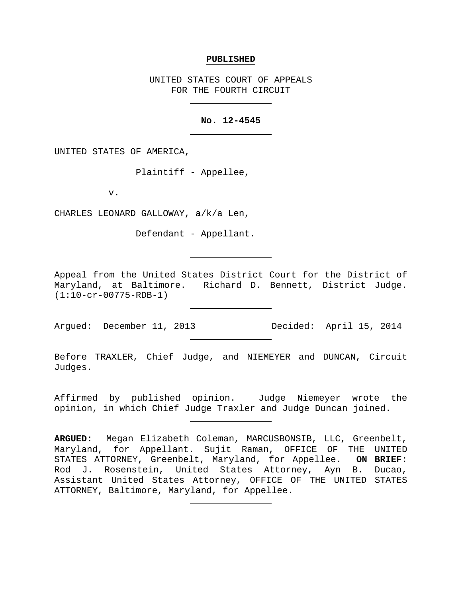#### **PUBLISHED**

UNITED STATES COURT OF APPEALS FOR THE FOURTH CIRCUIT

## **No. 12-4545**

UNITED STATES OF AMERICA,

Plaintiff - Appellee,

v.

CHARLES LEONARD GALLOWAY, a/k/a Len,

Defendant - Appellant.

Appeal from the United States District Court for the District of Maryland, at Baltimore. Richard D. Bennett, District Judge. (1:10-cr-00775-RDB-1)

Argued: December 11, 2013 Decided: April 15, 2014

Before TRAXLER, Chief Judge, and NIEMEYER and DUNCAN, Circuit Judges.

Affirmed by published opinion. Judge Niemeyer wrote the opinion, in which Chief Judge Traxler and Judge Duncan joined.

**ARGUED:** Megan Elizabeth Coleman, MARCUSBONSIB, LLC, Greenbelt, Maryland, for Appellant. Sujit Raman, OFFICE OF THE UNITED STATES ATTORNEY, Greenbelt, Maryland, for Appellee. **ON BRIEF:**  Rod J. Rosenstein, United States Attorney, Ayn B. Ducao, Assistant United States Attorney, OFFICE OF THE UNITED STATES ATTORNEY, Baltimore, Maryland, for Appellee.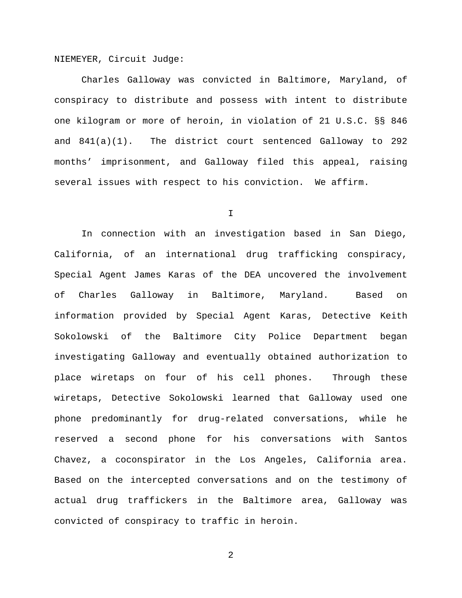NIEMEYER, Circuit Judge:

Charles Galloway was convicted in Baltimore, Maryland, of conspiracy to distribute and possess with intent to distribute one kilogram or more of heroin, in violation of 21 U.S.C. §§ 846 and 841(a)(1). The district court sentenced Galloway to 292 months' imprisonment, and Galloway filed this appeal, raising several issues with respect to his conviction. We affirm.

I

In connection with an investigation based in San Diego, California, of an international drug trafficking conspiracy, Special Agent James Karas of the DEA uncovered the involvement of Charles Galloway in Baltimore, Maryland. Based on information provided by Special Agent Karas, Detective Keith Sokolowski of the Baltimore City Police Department began investigating Galloway and eventually obtained authorization to place wiretaps on four of his cell phones. Through these wiretaps, Detective Sokolowski learned that Galloway used one phone predominantly for drug-related conversations, while he reserved a second phone for his conversations with Santos Chavez, a coconspirator in the Los Angeles, California area. Based on the intercepted conversations and on the testimony of actual drug traffickers in the Baltimore area, Galloway was convicted of conspiracy to traffic in heroin.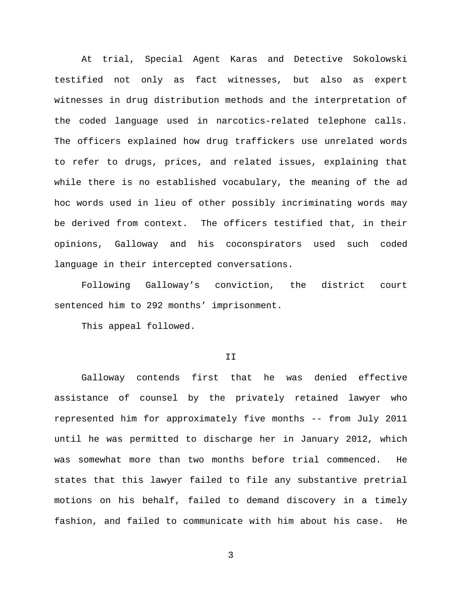At trial, Special Agent Karas and Detective Sokolowski testified not only as fact witnesses, but also as expert witnesses in drug distribution methods and the interpretation of the coded language used in narcotics-related telephone calls. The officers explained how drug traffickers use unrelated words to refer to drugs, prices, and related issues, explaining that while there is no established vocabulary, the meaning of the ad hoc words used in lieu of other possibly incriminating words may be derived from context. The officers testified that, in their opinions, Galloway and his coconspirators used such coded language in their intercepted conversations.

Following Galloway's conviction, the district court sentenced him to 292 months' imprisonment.

This appeal followed.

### II

Galloway contends first that he was denied effective assistance of counsel by the privately retained lawyer who represented him for approximately five months -- from July 2011 until he was permitted to discharge her in January 2012, which was somewhat more than two months before trial commenced. He states that this lawyer failed to file any substantive pretrial motions on his behalf, failed to demand discovery in a timely fashion, and failed to communicate with him about his case. He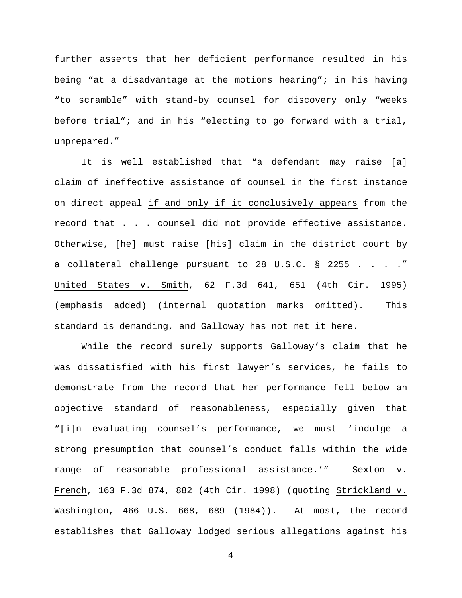further asserts that her deficient performance resulted in his being "at a disadvantage at the motions hearing"; in his having "to scramble" with stand-by counsel for discovery only "weeks before trial"; and in his "electing to go forward with a trial, unprepared."

It is well established that "a defendant may raise [a] claim of ineffective assistance of counsel in the first instance on direct appeal if and only if it conclusively appears from the record that . . . counsel did not provide effective assistance. Otherwise, [he] must raise [his] claim in the district court by a collateral challenge pursuant to 28 U.S.C. § 2255 . . . ." United States v. Smith, 62 F.3d 641, 651 (4th Cir. 1995) (emphasis added) (internal quotation marks omitted). This standard is demanding, and Galloway has not met it here.

While the record surely supports Galloway's claim that he was dissatisfied with his first lawyer's services, he fails to demonstrate from the record that her performance fell below an objective standard of reasonableness, especially given that "[i]n evaluating counsel's performance, we must 'indulge a strong presumption that counsel's conduct falls within the wide range of reasonable professional assistance.'" Sexton v. French, 163 F.3d 874, 882 (4th Cir. 1998) (quoting Strickland v. Washington, 466 U.S. 668, 689 (1984)). At most, the record establishes that Galloway lodged serious allegations against his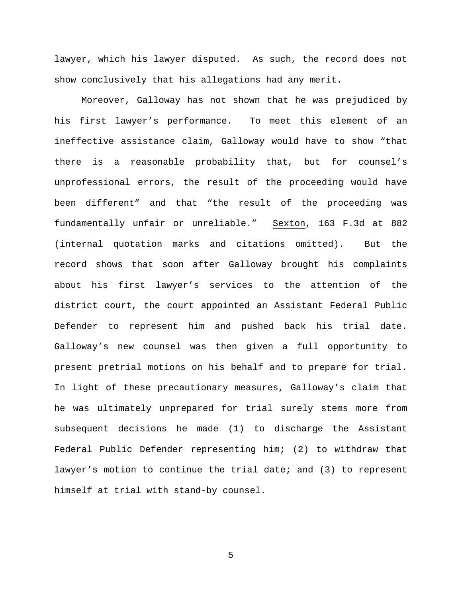lawyer, which his lawyer disputed. As such, the record does not show conclusively that his allegations had any merit.

Moreover, Galloway has not shown that he was prejudiced by his first lawyer's performance. To meet this element of an ineffective assistance claim, Galloway would have to show "that there is a reasonable probability that, but for counsel's unprofessional errors, the result of the proceeding would have been different" and that "the result of the proceeding was fundamentally unfair or unreliable." Sexton, 163 F.3d at 882 (internal quotation marks and citations omitted). But the record shows that soon after Galloway brought his complaints about his first lawyer's services to the attention of the district court, the court appointed an Assistant Federal Public Defender to represent him and pushed back his trial date. Galloway's new counsel was then given a full opportunity to present pretrial motions on his behalf and to prepare for trial. In light of these precautionary measures, Galloway's claim that he was ultimately unprepared for trial surely stems more from subsequent decisions he made (1) to discharge the Assistant Federal Public Defender representing him; (2) to withdraw that lawyer's motion to continue the trial date; and (3) to represent himself at trial with stand-by counsel.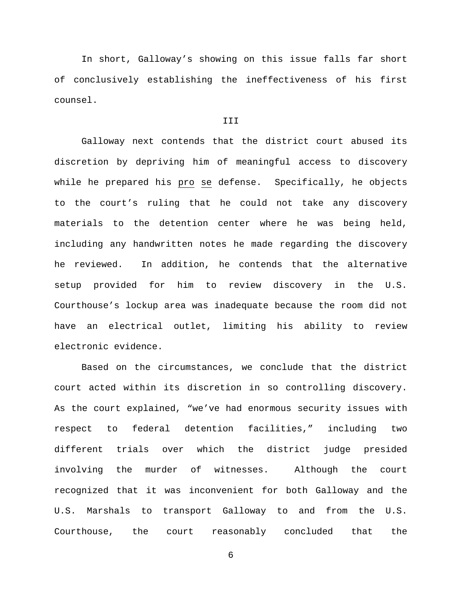In short, Galloway's showing on this issue falls far short of conclusively establishing the ineffectiveness of his first counsel.

# III

Galloway next contends that the district court abused its discretion by depriving him of meaningful access to discovery while he prepared his pro se defense. Specifically, he objects to the court's ruling that he could not take any discovery materials to the detention center where he was being held, including any handwritten notes he made regarding the discovery he reviewed. In addition, he contends that the alternative setup provided for him to review discovery in the U.S. Courthouse's lockup area was inadequate because the room did not have an electrical outlet, limiting his ability to review electronic evidence.

Based on the circumstances, we conclude that the district court acted within its discretion in so controlling discovery. As the court explained, "we've had enormous security issues with respect to federal detention facilities," including two different trials over which the district judge presided involving the murder of witnesses. Although the court recognized that it was inconvenient for both Galloway and the U.S. Marshals to transport Galloway to and from the U.S. Courthouse, the court reasonably concluded that the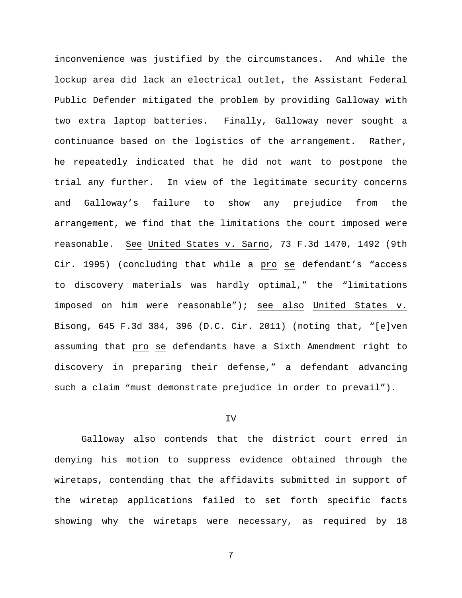inconvenience was justified by the circumstances. And while the lockup area did lack an electrical outlet, the Assistant Federal Public Defender mitigated the problem by providing Galloway with two extra laptop batteries. Finally, Galloway never sought a continuance based on the logistics of the arrangement. Rather, he repeatedly indicated that he did not want to postpone the trial any further. In view of the legitimate security concerns and Galloway's failure to show any prejudice from the arrangement, we find that the limitations the court imposed were reasonable. See United States v. Sarno, 73 F.3d 1470, 1492 (9th Cir. 1995) (concluding that while a pro se defendant's "access to discovery materials was hardly optimal," the "limitations imposed on him were reasonable"); see also United States v. Bisong, 645 F.3d 384, 396 (D.C. Cir. 2011) (noting that, "[e]ven assuming that pro se defendants have a Sixth Amendment right to discovery in preparing their defense," a defendant advancing such a claim "must demonstrate prejudice in order to prevail").

## IV

Galloway also contends that the district court erred in denying his motion to suppress evidence obtained through the wiretaps, contending that the affidavits submitted in support of the wiretap applications failed to set forth specific facts showing why the wiretaps were necessary, as required by 18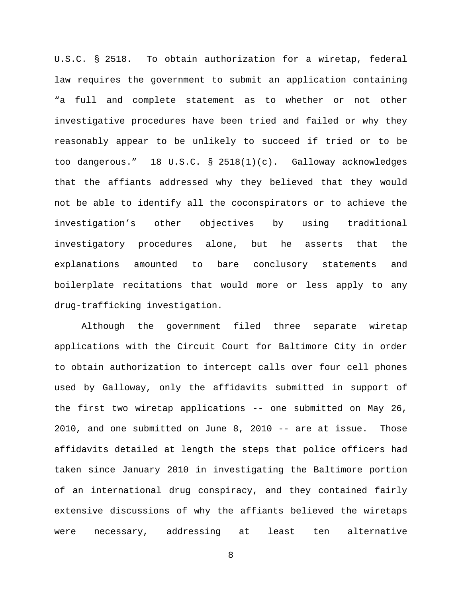U.S.C. § 2518. To obtain authorization for a wiretap, federal law requires the government to submit an application containing "a full and complete statement as to whether or not other investigative procedures have been tried and failed or why they reasonably appear to be unlikely to succeed if tried or to be too dangerous." 18 U.S.C. § 2518(1)(c). Galloway acknowledges that the affiants addressed why they believed that they would not be able to identify all the coconspirators or to achieve the investigation's other objectives by using traditional investigatory procedures alone, but he asserts that the explanations amounted to bare conclusory statements and boilerplate recitations that would more or less apply to any drug-trafficking investigation.

Although the government filed three separate wiretap applications with the Circuit Court for Baltimore City in order to obtain authorization to intercept calls over four cell phones used by Galloway, only the affidavits submitted in support of the first two wiretap applications -- one submitted on May 26, 2010, and one submitted on June 8, 2010 -- are at issue. Those affidavits detailed at length the steps that police officers had taken since January 2010 in investigating the Baltimore portion of an international drug conspiracy, and they contained fairly extensive discussions of why the affiants believed the wiretaps were necessary, addressing at least ten alternative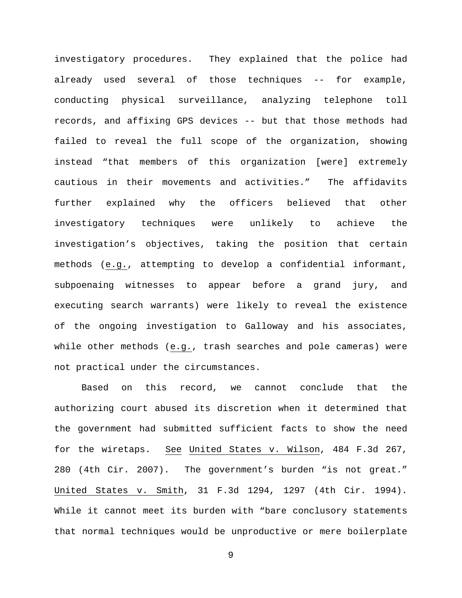investigatory procedures. They explained that the police had already used several of those techniques -- for example, conducting physical surveillance, analyzing telephone toll records, and affixing GPS devices -- but that those methods had failed to reveal the full scope of the organization, showing instead "that members of this organization [were] extremely cautious in their movements and activities." The affidavits further explained why the officers believed that other investigatory techniques were unlikely to achieve the investigation's objectives, taking the position that certain methods (e.g., attempting to develop a confidential informant, subpoenaing witnesses to appear before a grand jury, and executing search warrants) were likely to reveal the existence of the ongoing investigation to Galloway and his associates, while other methods (e.g., trash searches and pole cameras) were not practical under the circumstances.

Based on this record, we cannot conclude that the authorizing court abused its discretion when it determined that the government had submitted sufficient facts to show the need for the wiretaps. See United States v. Wilson, 484 F.3d 267, 280 (4th Cir. 2007). The government's burden "is not great." United States v. Smith, 31 F.3d 1294, 1297 (4th Cir. 1994). While it cannot meet its burden with "bare conclusory statements that normal techniques would be unproductive or mere boilerplate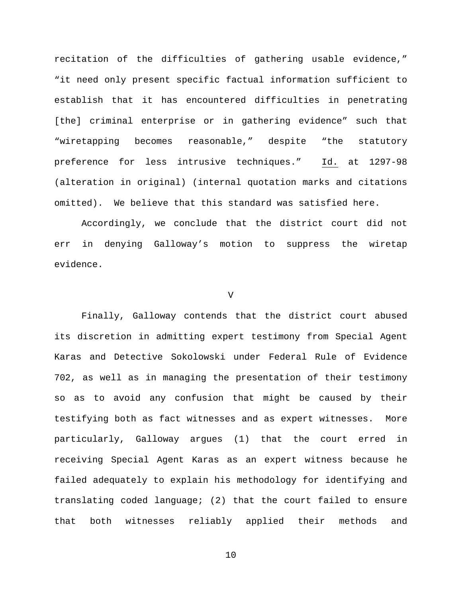recitation of the difficulties of gathering usable evidence," "it need only present specific factual information sufficient to establish that it has encountered difficulties in penetrating [the] criminal enterprise or in gathering evidence" such that "wiretapping becomes reasonable," despite "the statutory preference for less intrusive techniques." Id. at 1297-98 (alteration in original) (internal quotation marks and citations omitted). We believe that this standard was satisfied here.

Accordingly, we conclude that the district court did not err in denying Galloway's motion to suppress the wiretap evidence.

## V

Finally, Galloway contends that the district court abused its discretion in admitting expert testimony from Special Agent Karas and Detective Sokolowski under Federal Rule of Evidence 702, as well as in managing the presentation of their testimony so as to avoid any confusion that might be caused by their testifying both as fact witnesses and as expert witnesses. More particularly, Galloway argues (1) that the court erred in receiving Special Agent Karas as an expert witness because he failed adequately to explain his methodology for identifying and translating coded language; (2) that the court failed to ensure that both witnesses reliably applied their methods and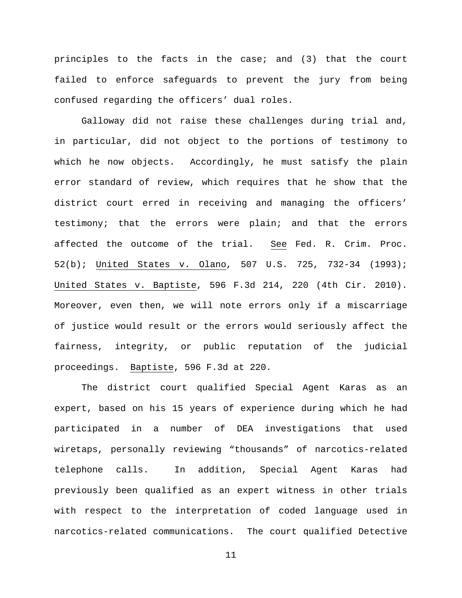principles to the facts in the case; and (3) that the court failed to enforce safeguards to prevent the jury from being confused regarding the officers' dual roles.

Galloway did not raise these challenges during trial and, in particular, did not object to the portions of testimony to which he now objects. Accordingly, he must satisfy the plain error standard of review, which requires that he show that the district court erred in receiving and managing the officers' testimony; that the errors were plain; and that the errors affected the outcome of the trial. See Fed. R. Crim. Proc. 52(b); United States v. Olano, 507 U.S. 725, 732-34 (1993); United States v. Baptiste, 596 F.3d 214, 220 (4th Cir. 2010). Moreover, even then, we will note errors only if a miscarriage of justice would result or the errors would seriously affect the fairness, integrity, or public reputation of the judicial proceedings. Baptiste, 596 F.3d at 220.

The district court qualified Special Agent Karas as an expert, based on his 15 years of experience during which he had participated in a number of DEA investigations that used wiretaps, personally reviewing "thousands" of narcotics-related telephone calls. In addition, Special Agent Karas had previously been qualified as an expert witness in other trials with respect to the interpretation of coded language used in narcotics-related communications. The court qualified Detective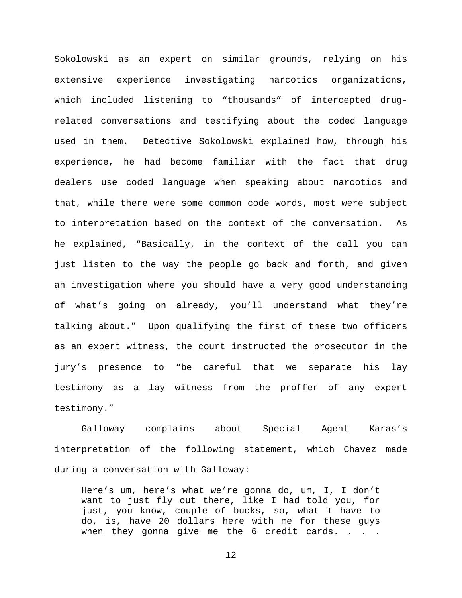Sokolowski as an expert on similar grounds, relying on his extensive experience investigating narcotics organizations, which included listening to "thousands" of intercepted drugrelated conversations and testifying about the coded language used in them. Detective Sokolowski explained how, through his experience, he had become familiar with the fact that drug dealers use coded language when speaking about narcotics and that, while there were some common code words, most were subject to interpretation based on the context of the conversation. As he explained, "Basically, in the context of the call you can just listen to the way the people go back and forth, and given an investigation where you should have a very good understanding of what's going on already, you'll understand what they're talking about." Upon qualifying the first of these two officers as an expert witness, the court instructed the prosecutor in the jury's presence to "be careful that we separate his lay testimony as a lay witness from the proffer of any expert testimony."

Galloway complains about Special Agent Karas's interpretation of the following statement, which Chavez made during a conversation with Galloway:

Here's um, here's what we're gonna do, um, I, I don't want to just fly out there, like I had told you, for just, you know, couple of bucks, so, what I have to do, is, have 20 dollars here with me for these guys when they gonna give me the  $6$  credit cards. . . .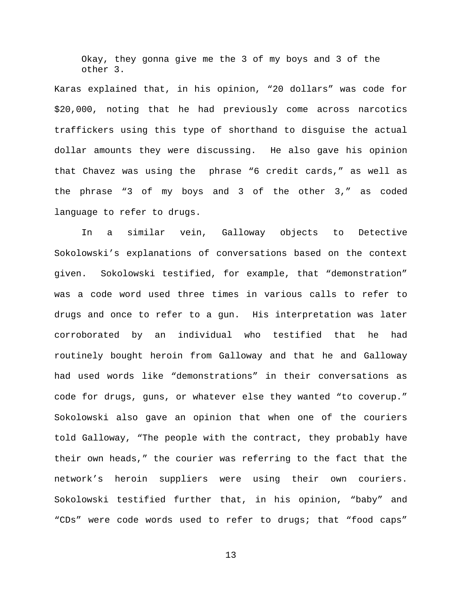Okay, they gonna give me the 3 of my boys and 3 of the other 3.

Karas explained that, in his opinion, "20 dollars" was code for \$20,000, noting that he had previously come across narcotics traffickers using this type of shorthand to disguise the actual dollar amounts they were discussing. He also gave his opinion that Chavez was using the phrase "6 credit cards," as well as the phrase "3 of my boys and 3 of the other 3," as coded language to refer to drugs.

In a similar vein, Galloway objects to Detective Sokolowski's explanations of conversations based on the context given. Sokolowski testified, for example, that "demonstration" was a code word used three times in various calls to refer to drugs and once to refer to a gun. His interpretation was later corroborated by an individual who testified that he had routinely bought heroin from Galloway and that he and Galloway had used words like "demonstrations" in their conversations as code for drugs, guns, or whatever else they wanted "to coverup." Sokolowski also gave an opinion that when one of the couriers told Galloway, "The people with the contract, they probably have their own heads," the courier was referring to the fact that the network's heroin suppliers were using their own couriers. Sokolowski testified further that, in his opinion, "baby" and "CDs" were code words used to refer to drugs; that "food caps"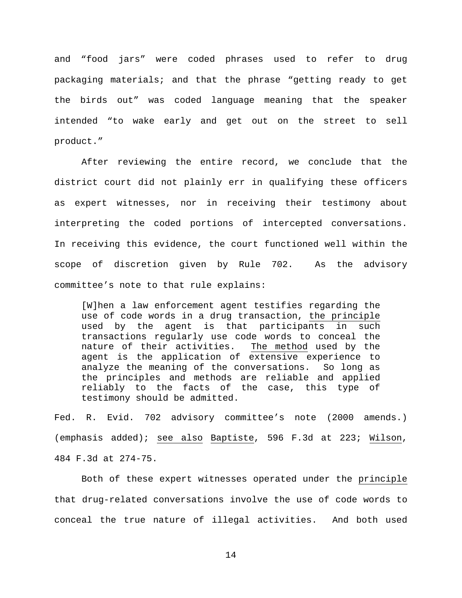and "food jars" were coded phrases used to refer to drug packaging materials; and that the phrase "getting ready to get the birds out" was coded language meaning that the speaker intended "to wake early and get out on the street to sell product."

After reviewing the entire record, we conclude that the district court did not plainly err in qualifying these officers as expert witnesses, nor in receiving their testimony about interpreting the coded portions of intercepted conversations. In receiving this evidence, the court functioned well within the scope of discretion given by Rule 702. As the advisory committee's note to that rule explains:

[W]hen a law enforcement agent testifies regarding the use of code words in a drug transaction, the principle used by the agent is that participants in such transactions regularly use code words to conceal the<br>nature of their activities. The method used by the nature of their activities. agent is the application of extensive experience to analyze the meaning of the conversations. So long as the principles and methods are reliable and applied reliably to the facts of the case, this type of testimony should be admitted.

Fed. R. Evid. 702 advisory committee's note (2000 amends.) (emphasis added); see also Baptiste, 596 F.3d at 223; Wilson, 484 F.3d at 274-75.

Both of these expert witnesses operated under the principle that drug-related conversations involve the use of code words to conceal the true nature of illegal activities. And both used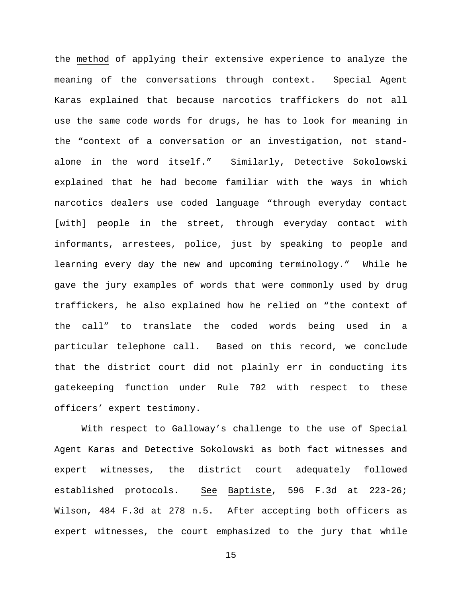the method of applying their extensive experience to analyze the meaning of the conversations through context. Special Agent Karas explained that because narcotics traffickers do not all use the same code words for drugs, he has to look for meaning in the "context of a conversation or an investigation, not standalone in the word itself." Similarly, Detective Sokolowski explained that he had become familiar with the ways in which narcotics dealers use coded language "through everyday contact [with] people in the street, through everyday contact with informants, arrestees, police, just by speaking to people and learning every day the new and upcoming terminology." While he gave the jury examples of words that were commonly used by drug traffickers, he also explained how he relied on "the context of the call" to translate the coded words being used in a particular telephone call. Based on this record, we conclude that the district court did not plainly err in conducting its gatekeeping function under Rule 702 with respect to these officers' expert testimony.

With respect to Galloway's challenge to the use of Special Agent Karas and Detective Sokolowski as both fact witnesses and expert witnesses, the district court adequately followed established protocols. See Baptiste, 596 F.3d at 223-26; Wilson, 484 F.3d at 278 n.5. After accepting both officers as expert witnesses, the court emphasized to the jury that while